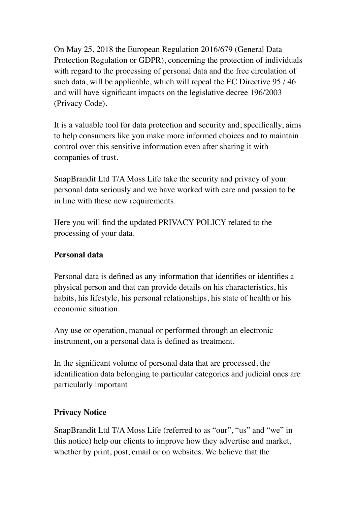On May 25, 2018 the European Regulation 2016/679 (General Data Protection Regulation or GDPR), concerning the protection of individuals with regard to the processing of personal data and the free circulation of such data, will be applicable, which will repeal the EC Directive 95 / 46 and will have significant impacts on the legislative decree 196/2003 (Privacy Code).

It is a valuable tool for data protection and security and, specifically, aims to help consumers like you make more informed choices and to maintain control over this sensitive information even after sharing it with companies of trust.

SnapBrandit Ltd T/A Moss Life take the security and privacy of your personal data seriously and we have worked with care and passion to be in line with these new requirements.

Here you will find the updated PRIVACY POLICY related to the processing of your data.

### **Personal data**

Personal data is defined as any information that identifies or identifies a physical person and that can provide details on his characteristics, his habits, his lifestyle, his personal relationships, his state of health or his economic situation.

Any use or operation, manual or performed through an electronic instrument, on a personal data is defined as treatment.

In the significant volume of personal data that are processed, the identification data belonging to particular categories and judicial ones are particularly important

## **Privacy Notice**

SnapBrandit Ltd T/A Moss Life (referred to as "our", "us" and "we" in this notice) help our clients to improve how they advertise and market, whether by print, post, email or on websites. We believe that the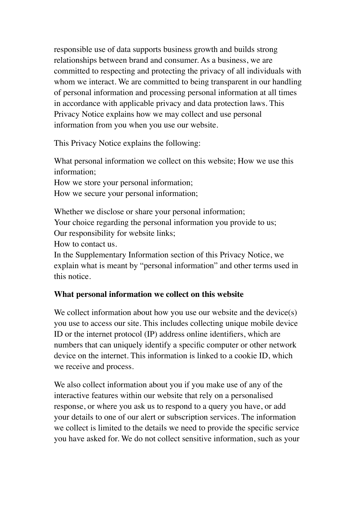responsible use of data supports business growth and builds strong relationships between brand and consumer. As a business, we are committed to respecting and protecting the privacy of all individuals with whom we interact. We are committed to being transparent in our handling of personal information and processing personal information at all times in accordance with applicable privacy and data protection laws. This Privacy Notice explains how we may collect and use personal information from you when you use our website.

This Privacy Notice explains the following:

What personal information we collect on this website; How we use this information;

How we store your personal information;

How we secure your personal information;

Whether we disclose or share your personal information; Your choice regarding the personal information you provide to us; Our responsibility for website links; How to contact us.

In the Supplementary Information section of this Privacy Notice, we explain what is meant by "personal information" and other terms used in this notice.

# **What personal information we collect on this website**

We collect information about how you use our website and the device(s) you use to access our site. This includes collecting unique mobile device ID or the internet protocol (IP) address online identifiers, which are numbers that can uniquely identify a specific computer or other network device on the internet. This information is linked to a cookie ID, which we receive and process.

We also collect information about you if you make use of any of the interactive features within our website that rely on a personalised response, or where you ask us to respond to a query you have, or add your details to one of our alert or subscription services. The information we collect is limited to the details we need to provide the specific service you have asked for. We do not collect sensitive information, such as your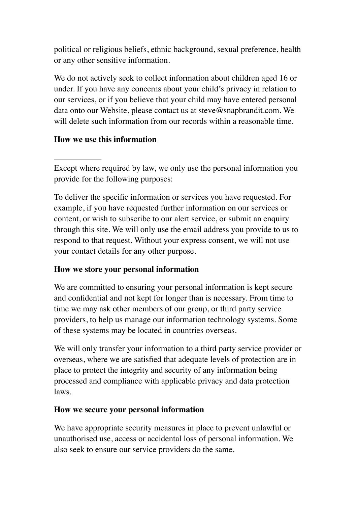political or religious beliefs, ethnic background, sexual preference, health or any other sensitive information.

We do not actively seek to collect information about children aged 16 or under. If you have any concerns about your child's privacy in relation to our services, or if you believe that your child may have entered personal data onto our Website, please contact us at steve@snapbrandit.com. We will delete such information from our records within a reasonable time.

## **How we use this information**

Except where required by law, we only use the personal information you provide for the following purposes:

To deliver the specific information or services you have requested. For example, if you have requested further information on our services or content, or wish to subscribe to our alert service, or submit an enquiry through this site. We will only use the email address you provide to us to respond to that request. Without your express consent, we will not use your contact details for any other purpose.

## **How we store your personal information**

We are committed to ensuring your personal information is kept secure and confidential and not kept for longer than is necessary. From time to time we may ask other members of our group, or third party service providers, to help us manage our information technology systems. Some of these systems may be located in countries overseas.

We will only transfer your information to a third party service provider or overseas, where we are satisfied that adequate levels of protection are in place to protect the integrity and security of any information being processed and compliance with applicable privacy and data protection laws.

## **How we secure your personal information**

We have appropriate security measures in place to prevent unlawful or unauthorised use, access or accidental loss of personal information. We also seek to ensure our service providers do the same.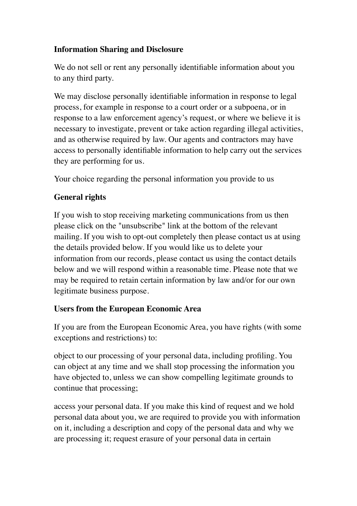## **Information Sharing and Disclosure**

We do not sell or rent any personally identifiable information about you to any third party.

We may disclose personally identifiable information in response to legal process, for example in response to a court order or a subpoena, or in response to a law enforcement agency's request, or where we believe it is necessary to investigate, prevent or take action regarding illegal activities, and as otherwise required by law. Our agents and contractors may have access to personally identifiable information to help carry out the services they are performing for us.

Your choice regarding the personal information you provide to us

# **General rights**

If you wish to stop receiving marketing communications from us then please click on the "unsubscribe" link at the bottom of the relevant mailing. If you wish to opt-out completely then please contact us at using the details provided below. If you would like us to delete your information from our records, please contact us using the contact details below and we will respond within a reasonable time. Please note that we may be required to retain certain information by law and/or for our own legitimate business purpose.

## **Users from the European Economic Area**

If you are from the European Economic Area, you have rights (with some exceptions and restrictions) to:

object to our processing of your personal data, including profiling. You can object at any time and we shall stop processing the information you have objected to, unless we can show compelling legitimate grounds to continue that processing;

access your personal data. If you make this kind of request and we hold personal data about you, we are required to provide you with information on it, including a description and copy of the personal data and why we are processing it; request erasure of your personal data in certain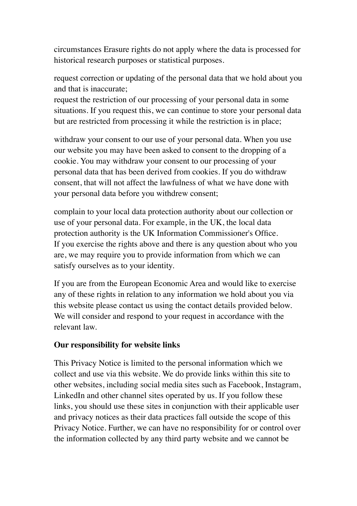circumstances Erasure rights do not apply where the data is processed for historical research purposes or statistical purposes.

request correction or updating of the personal data that we hold about you and that is inaccurate;

request the restriction of our processing of your personal data in some situations. If you request this, we can continue to store your personal data but are restricted from processing it while the restriction is in place;

withdraw your consent to our use of your personal data. When you use our website you may have been asked to consent to the dropping of a cookie. You may withdraw your consent to our processing of your personal data that has been derived from cookies. If you do withdraw consent, that will not affect the lawfulness of what we have done with your personal data before you withdrew consent;

complain to your local data protection authority about our collection or use of your personal data. For example, in the UK, the local data protection authority is the UK Information Commissioner's Office. If you exercise the rights above and there is any question about who you are, we may require you to provide information from which we can satisfy ourselves as to your identity.

If you are from the European Economic Area and would like to exercise any of these rights in relation to any information we hold about you via this website please contact us using the contact details provided below. We will consider and respond to your request in accordance with the relevant law.

### **Our responsibility for website links**

This Privacy Notice is limited to the personal information which we collect and use via this website. We do provide links within this site to other websites, including social media sites such as Facebook, Instagram, LinkedIn and other channel sites operated by us. If you follow these links, you should use these sites in conjunction with their applicable user and privacy notices as their data practices fall outside the scope of this Privacy Notice. Further, we can have no responsibility for or control over the information collected by any third party website and we cannot be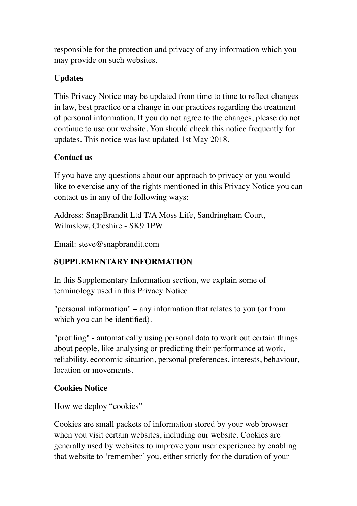responsible for the protection and privacy of any information which you may provide on such websites.

## **Updates**

This Privacy Notice may be updated from time to time to reflect changes in law, best practice or a change in our practices regarding the treatment of personal information. If you do not agree to the changes, please do not continue to use our website. You should check this notice frequently for updates. This notice was last updated 1st May 2018.

## **Contact us**

If you have any questions about our approach to privacy or you would like to exercise any of the rights mentioned in this Privacy Notice you can contact us in any of the following ways:

Address: SnapBrandit Ltd T/A Moss Life, Sandringham Court, Wilmslow, Cheshire - SK9 1PW

Email: steve@snapbrandit.com

# **SUPPLEMENTARY INFORMATION**

In this Supplementary Information section, we explain some of terminology used in this Privacy Notice.

"personal information" – any information that relates to you (or from which you can be identified).

"profiling" - automatically using personal data to work out certain things about people, like analysing or predicting their performance at work, reliability, economic situation, personal preferences, interests, behaviour, location or movements.

## **Cookies Notice**

How we deploy "cookies"

Cookies are small packets of information stored by your web browser when you visit certain websites, including our website. Cookies are generally used by websites to improve your user experience by enabling that website to 'remember' you, either strictly for the duration of your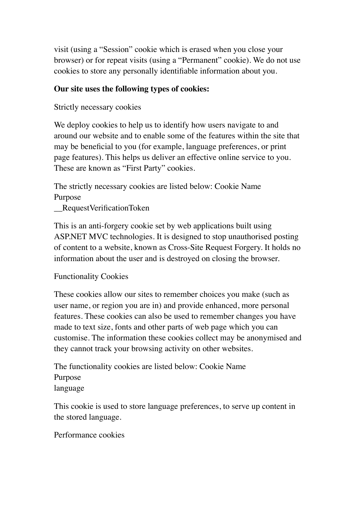visit (using a "Session" cookie which is erased when you close your browser) or for repeat visits (using a "Permanent" cookie). We do not use cookies to store any personally identifiable information about you.

### **Our site uses the following types of cookies:**

Strictly necessary cookies

We deploy cookies to help us to identify how users navigate to and around our website and to enable some of the features within the site that may be beneficial to you (for example, language preferences, or print page features). This helps us deliver an effective online service to you. These are known as "First Party" cookies.

The strictly necessary cookies are listed below: Cookie Name Purpose

\_\_RequestVerificationToken

This is an anti-forgery cookie set by web applications built using ASP.NET MVC technologies. It is designed to stop unauthorised posting of content to a website, known as Cross-Site Request Forgery. It holds no information about the user and is destroyed on closing the browser.

Functionality Cookies

These cookies allow our sites to remember choices you make (such as user name, or region you are in) and provide enhanced, more personal features. These cookies can also be used to remember changes you have made to text size, fonts and other parts of web page which you can customise. The information these cookies collect may be anonymised and they cannot track your browsing activity on other websites.

The functionality cookies are listed below: Cookie Name Purpose language

This cookie is used to store language preferences, to serve up content in the stored language.

Performance cookies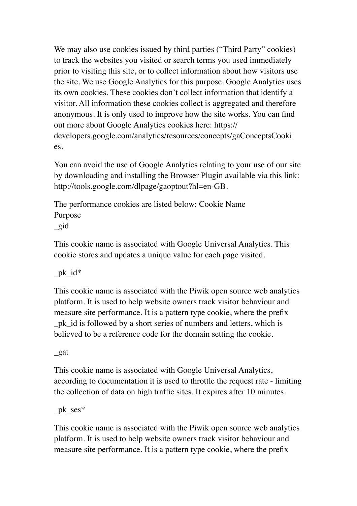We may also use cookies issued by third parties ("Third Party" cookies) to track the websites you visited or search terms you used immediately prior to visiting this site, or to collect information about how visitors use the site. We use Google Analytics for this purpose. Google Analytics uses its own cookies. These cookies don't collect information that identify a visitor. All information these cookies collect is aggregated and therefore anonymous. It is only used to improve how the site works. You can find out more about Google Analytics cookies here: https:// developers.google.com/analytics/resources/concepts/gaConceptsCooki es.

You can avoid the use of Google Analytics relating to your use of our site by downloading and installing the Browser Plugin available via this link: http://tools.google.com/dlpage/gaoptout?hl=en-GB.

The performance cookies are listed below: Cookie Name Purpose \_gid

This cookie name is associated with Google Universal Analytics. This cookie stores and updates a unique value for each page visited.

 $pk_id*$ 

This cookie name is associated with the Piwik open source web analytics platform. It is used to help website owners track visitor behaviour and measure site performance. It is a pattern type cookie, where the prefix \_pk\_id is followed by a short series of numbers and letters, which is believed to be a reference code for the domain setting the cookie.

\_gat

This cookie name is associated with Google Universal Analytics, according to documentation it is used to throttle the request rate - limiting the collection of data on high traffic sites. It expires after 10 minutes.

\_pk\_ses\*

This cookie name is associated with the Piwik open source web analytics platform. It is used to help website owners track visitor behaviour and measure site performance. It is a pattern type cookie, where the prefix